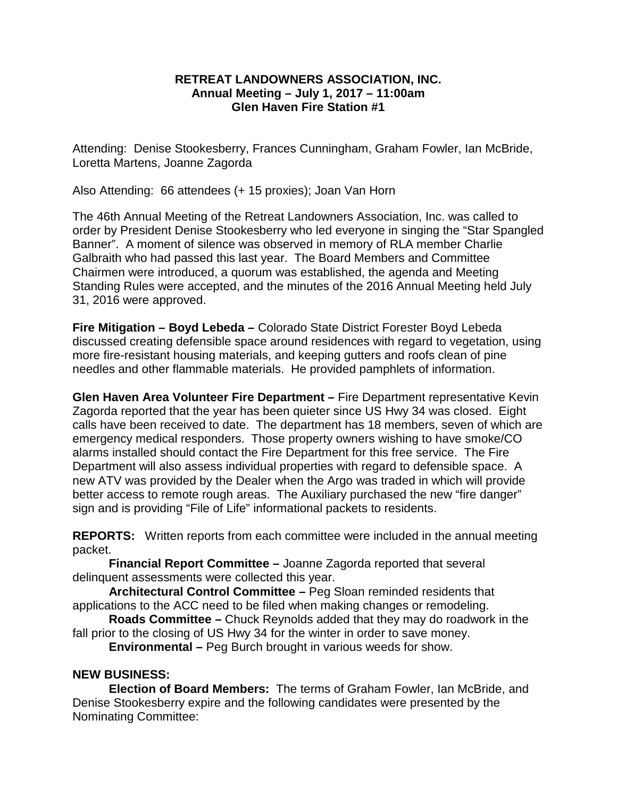## **RETREAT LANDOWNERS ASSOCIATION, INC. Annual Meeting – July 1, 2017 – 11:00am Glen Haven Fire Station #1**

Attending: Denise Stookesberry, Frances Cunningham, Graham Fowler, Ian McBride, Loretta Martens, Joanne Zagorda

Also Attending: 66 attendees (+ 15 proxies); Joan Van Horn

The 46th Annual Meeting of the Retreat Landowners Association, Inc. was called to order by President Denise Stookesberry who led everyone in singing the "Star Spangled Banner". A moment of silence was observed in memory of RLA member Charlie Galbraith who had passed this last year. The Board Members and Committee Chairmen were introduced, a quorum was established, the agenda and Meeting Standing Rules were accepted, and the minutes of the 2016 Annual Meeting held July 31, 2016 were approved.

**Fire Mitigation – Boyd Lebeda –** Colorado State District Forester Boyd Lebeda discussed creating defensible space around residences with regard to vegetation, using more fire-resistant housing materials, and keeping gutters and roofs clean of pine needles and other flammable materials. He provided pamphlets of information.

**Glen Haven Area Volunteer Fire Department –** Fire Department representative Kevin Zagorda reported that the year has been quieter since US Hwy 34 was closed. Eight calls have been received to date. The department has 18 members, seven of which are emergency medical responders. Those property owners wishing to have smoke/CO alarms installed should contact the Fire Department for this free service. The Fire Department will also assess individual properties with regard to defensible space. A new ATV was provided by the Dealer when the Argo was traded in which will provide better access to remote rough areas. The Auxiliary purchased the new "fire danger" sign and is providing "File of Life" informational packets to residents.

**REPORTS:** Written reports from each committee were included in the annual meeting packet.

**Financial Report Committee –** Joanne Zagorda reported that several delinquent assessments were collected this year.

**Architectural Control Committee –** Peg Sloan reminded residents that applications to the ACC need to be filed when making changes or remodeling.

**Roads Committee –** Chuck Reynolds added that they may do roadwork in the fall prior to the closing of US Hwy 34 for the winter in order to save money.

**Environmental –** Peg Burch brought in various weeds for show.

## **NEW BUSINESS:**

**Election of Board Members:** The terms of Graham Fowler, Ian McBride, and Denise Stookesberry expire and the following candidates were presented by the Nominating Committee: